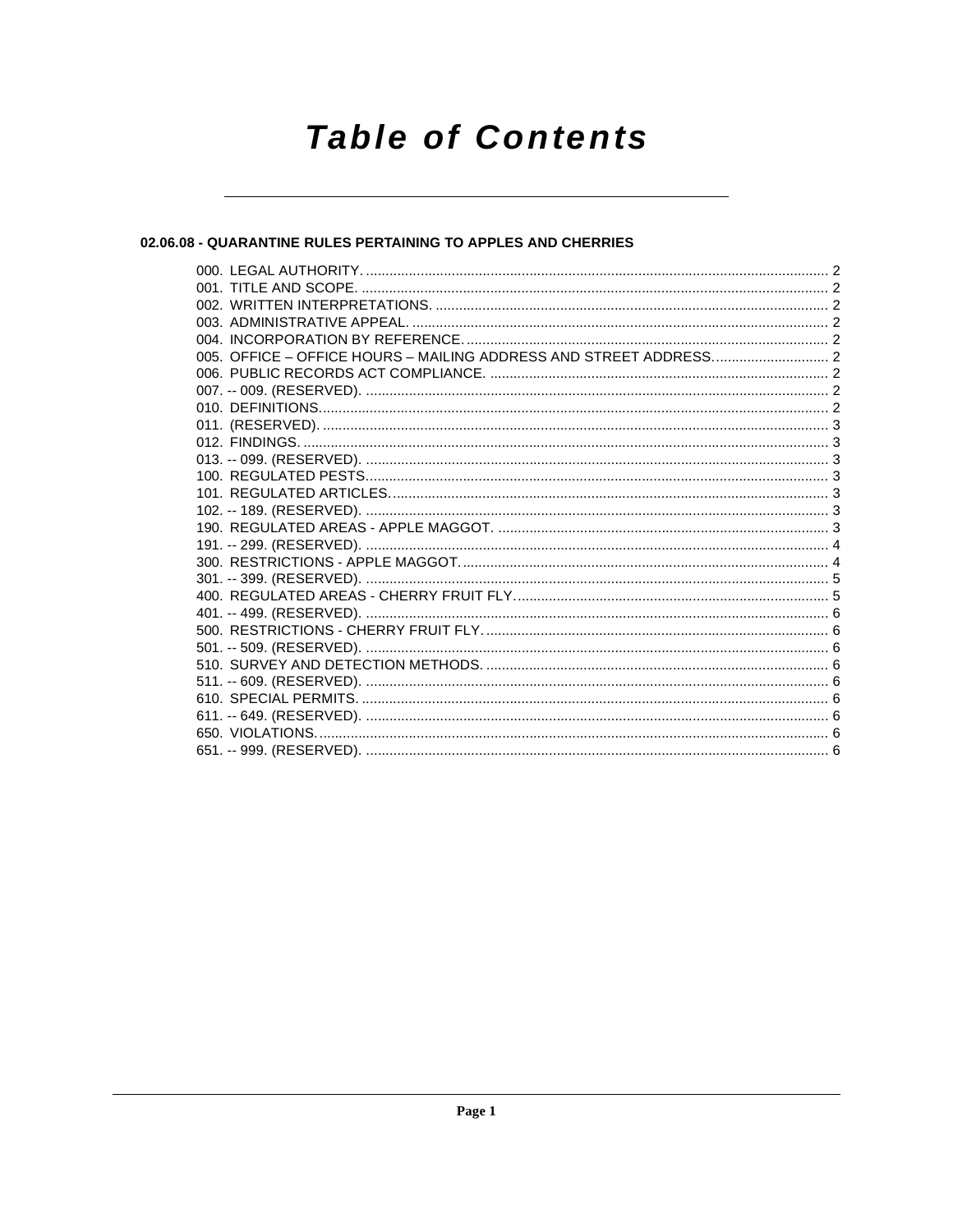# **Table of Contents**

### 02.06.08 - QUARANTINE RULES PERTAINING TO APPLES AND CHERRIES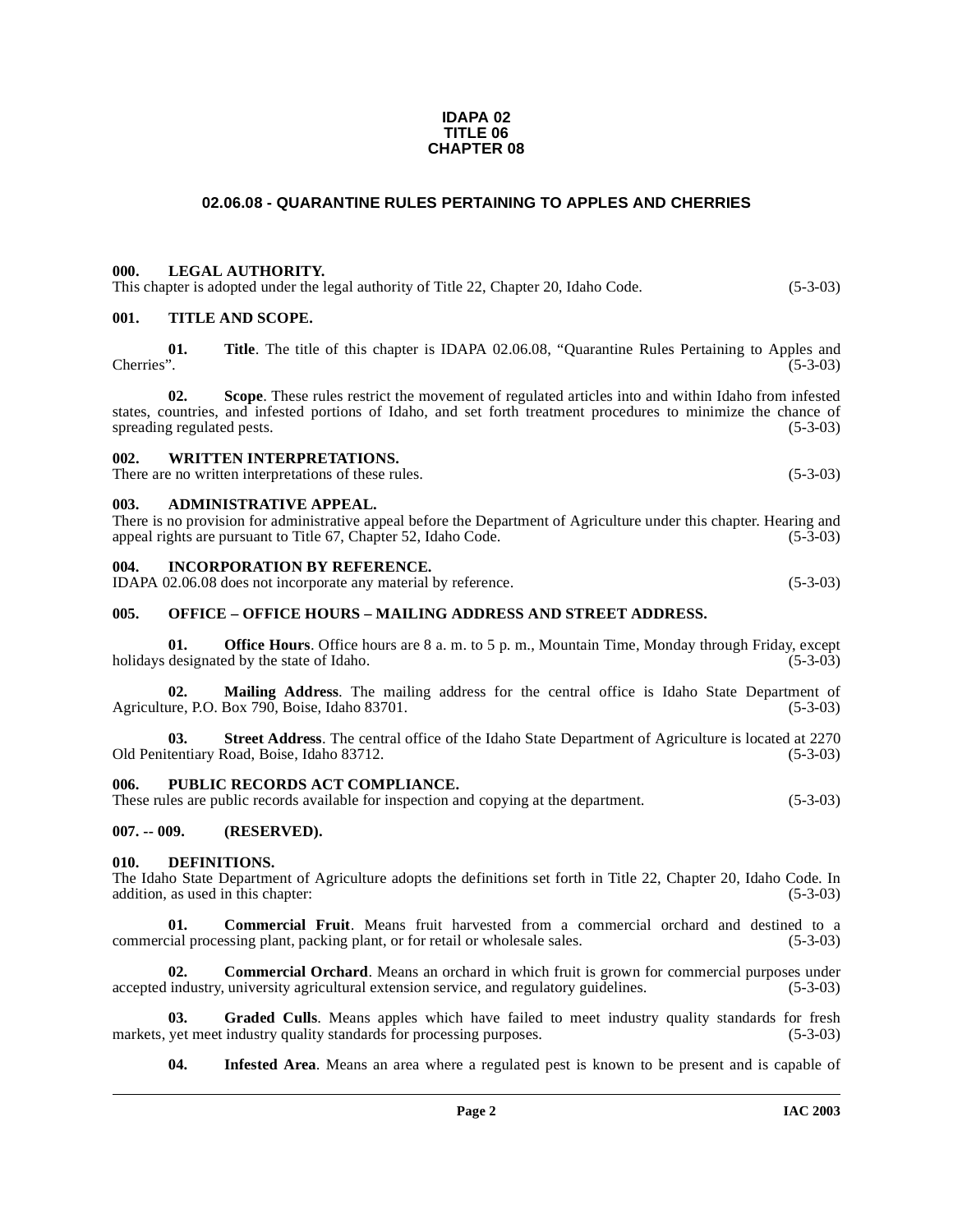#### **IDAPA 02 TITLE 06 CHAPTER 08**

### **02.06.08 - QUARANTINE RULES PERTAINING TO APPLES AND CHERRIES**

#### <span id="page-1-1"></span><span id="page-1-0"></span>**000. LEGAL AUTHORITY.**

This chapter is adopted under the legal authority of Title 22, Chapter 20, Idaho Code. (5-3-03)

#### <span id="page-1-2"></span>**001. TITLE AND SCOPE.**

**01. Title**. The title of this chapter is IDAPA 02.06.08, "Quarantine Rules Pertaining to Apples and  $Cherries$ ".  $(5-3-03)$ 

**02. Scope**. These rules restrict the movement of regulated articles into and within Idaho from infested states, countries, and infested portions of Idaho, and set forth treatment procedures to minimize the chance of spreading regulated pests. (5-3-03) spreading regulated pests.

#### <span id="page-1-3"></span>**002. WRITTEN INTERPRETATIONS.**

There are no written interpretations of these rules. (5-3-03)

#### <span id="page-1-4"></span>**003. ADMINISTRATIVE APPEAL.**

There is no provision for administrative appeal before the Department of Agriculture under this chapter. Hearing and appeal rights are pursuant to Title 67, Chapter 52, Idaho Code. (5-3-03)

#### <span id="page-1-5"></span>**004. INCORPORATION BY REFERENCE.**

IDAPA 02.06.08 does not incorporate any material by reference. (5-3-03)

#### <span id="page-1-6"></span>**005. OFFICE – OFFICE HOURS – MAILING ADDRESS AND STREET ADDRESS.**

**01. Office Hours**. Office hours are 8 a. m. to 5 p. m., Mountain Time, Monday through Friday, except designated by the state of Idaho. (5-3-03) holidays designated by the state of Idaho.

**02.** Mailing Address. The mailing address for the central office is Idaho State Department of are, P.O. Box 790, Boise, Idaho 83701. (5-3-03) Agriculture, P.O. Box 790, Boise, Idaho 83701.

**03. Street Address**. The central office of the Idaho State Department of Agriculture is located at 2270 Old Penitentiary Road, Boise, Idaho 83712. (5-3-03)

#### <span id="page-1-7"></span>PUBLIC RECORDS ACT COMPLIANCE.

These rules are public records available for inspection and copying at the department. (5-3-03)

#### <span id="page-1-8"></span>**007. -- 009. (RESERVED).**

#### <span id="page-1-12"></span><span id="page-1-9"></span>**010. DEFINITIONS.**

The Idaho State Department of Agriculture adopts the definitions set forth in Title 22, Chapter 20, Idaho Code. In addition, as used in this chapter: (5-3-03)

<span id="page-1-10"></span>**01. Commercial Fruit**. Means fruit harvested from a commercial orchard and destined to a cial processing plant, packing plant, or for retail or wholesale sales. (5-3-03) commercial processing plant, packing plant, or for retail or wholesale sales.

<span id="page-1-11"></span>**02.** Commercial Orchard. Means an orchard in which fruit is grown for commercial purposes under accepted industry, university agricultural extension service, and regulatory guidelines. (5-3-03)

**03.** Graded Culls. Means apples which have failed to meet industry quality standards for fresh yet meet industry quality standards for processing purposes. (5-3-03) markets, yet meet industry quality standards for processing purposes.

<span id="page-1-14"></span><span id="page-1-13"></span>**04. Infested Area**. Means an area where a regulated pest is known to be present and is capable of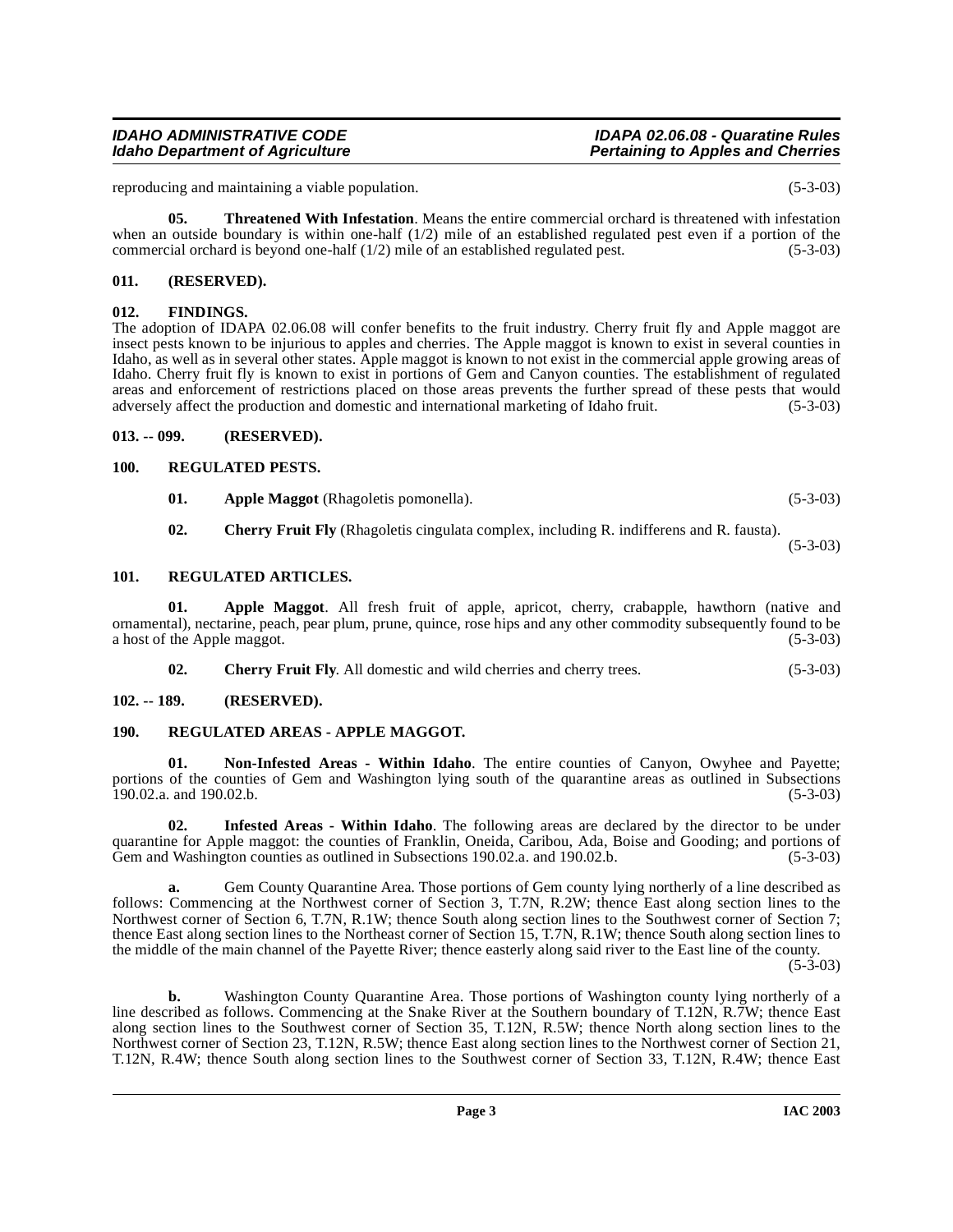### when an outside boundary is within one-half  $(1/2)$  mile of an established regulated pest even if a portion of the commercial orchard is beyond one-half  $(1/2)$  mile of an established regulated pest.  $(5-3-03)$ **011. (RESERVED).**

<span id="page-2-1"></span><span id="page-2-0"></span>**012. FINDINGS.** The adoption of IDAPA 02.06.08 will confer benefits to the fruit industry. Cherry fruit fly and Apple maggot are insect pests known to be injurious to apples and cherries. The Apple maggot is known to exist in several counties in Idaho, as well as in several other states. Apple maggot is known to not exist in the commercial apple growing areas of Idaho. Cherry fruit fly is known to exist in portions of Gem and Canyon counties. The establishment of regulated areas and enforcement of restrictions placed on those areas prevents the further spread of these pests that would adversely affect the production and domestic and international marketing of Idaho fruit. (5-3-03)

reproducing and maintaining a viable population. (5-3-03)

<span id="page-2-12"></span>**05. Threatened With Infestation**. Means the entire commercial orchard is threatened with infestation

# <span id="page-2-2"></span>**013. -- 099. (RESERVED).**

# <span id="page-2-3"></span>**100. REGULATED PESTS.**

<span id="page-2-11"></span>**01.** Apple Maggot (Rhagoletis pomonella). (5-3-03)

<span id="page-2-10"></span>**02. Cherry Fruit Fly** (Rhagoletis cingulata complex, including R. indifferens and R. fausta).

(5-3-03)

# <span id="page-2-4"></span>**101. REGULATED ARTICLES.**

**01. Apple Maggot**. All fresh fruit of apple, apricot, cherry, crabapple, hawthorn (native and ornamental), nectarine, peach, pear plum, prune, quince, rose hips and any other commodity subsequently found to be a host of the Apple maggot. (5-3-03)

<span id="page-2-9"></span><span id="page-2-8"></span>**02. Cherry Fruit Fly**. All domestic and wild cherries and cherry trees. (5-3-03)

# <span id="page-2-5"></span>**102. -- 189. (RESERVED).**

# <span id="page-2-6"></span>**190. REGULATED AREAS - APPLE MAGGOT.**

**01. Non-Infested Areas - Within Idaho**. The entire counties of Canyon, Owyhee and Payette; portions of the counties of Gem and Washington lying south of the quarantine areas as outlined in Subsections 190.02.a. and 190.02.b. (5-3-03) 190.02.a. and 190.02.b.

<span id="page-2-7"></span>**02. Infested Areas - Within Idaho**. The following areas are declared by the director to be under quarantine for Apple maggot: the counties of Franklin, Oneida, Caribou, Ada, Boise and Gooding; and portions of Gem and Washington counties as outlined in Subsections 190.02.a. and 190.02.b. (5-3-03)

**a.** Gem County Quarantine Area. Those portions of Gem county lying northerly of a line described as follows: Commencing at the Northwest corner of Section 3, T.7N, R.2W; thence East along section lines to the Northwest corner of Section 6, T.7N, R.1W; thence South along section lines to the Southwest corner of Section 7; thence East along section lines to the Northeast corner of Section 15, T.7N, R.1W; thence South along section lines to the middle of the main channel of the Payette River; thence easterly along said river to the East line of the county.  $(5-3-03)$ 

**b.** Washington County Quarantine Area. Those portions of Washington county lying northerly of a line described as follows. Commencing at the Snake River at the Southern boundary of T.12N, R.7W; thence East along section lines to the Southwest corner of Section 35, T.12N, R.5W; thence North along section lines to the Northwest corner of Section 23, T.12N, R.5W; thence East along section lines to the Northwest corner of Section 21, T.12N, R.4W; thence South along section lines to the Southwest corner of Section 33, T.12N, R.4W; thence East

# **IDAHO ADMINISTRATIVE CODE IDAPA 02.06.08 - Quaratine Rules**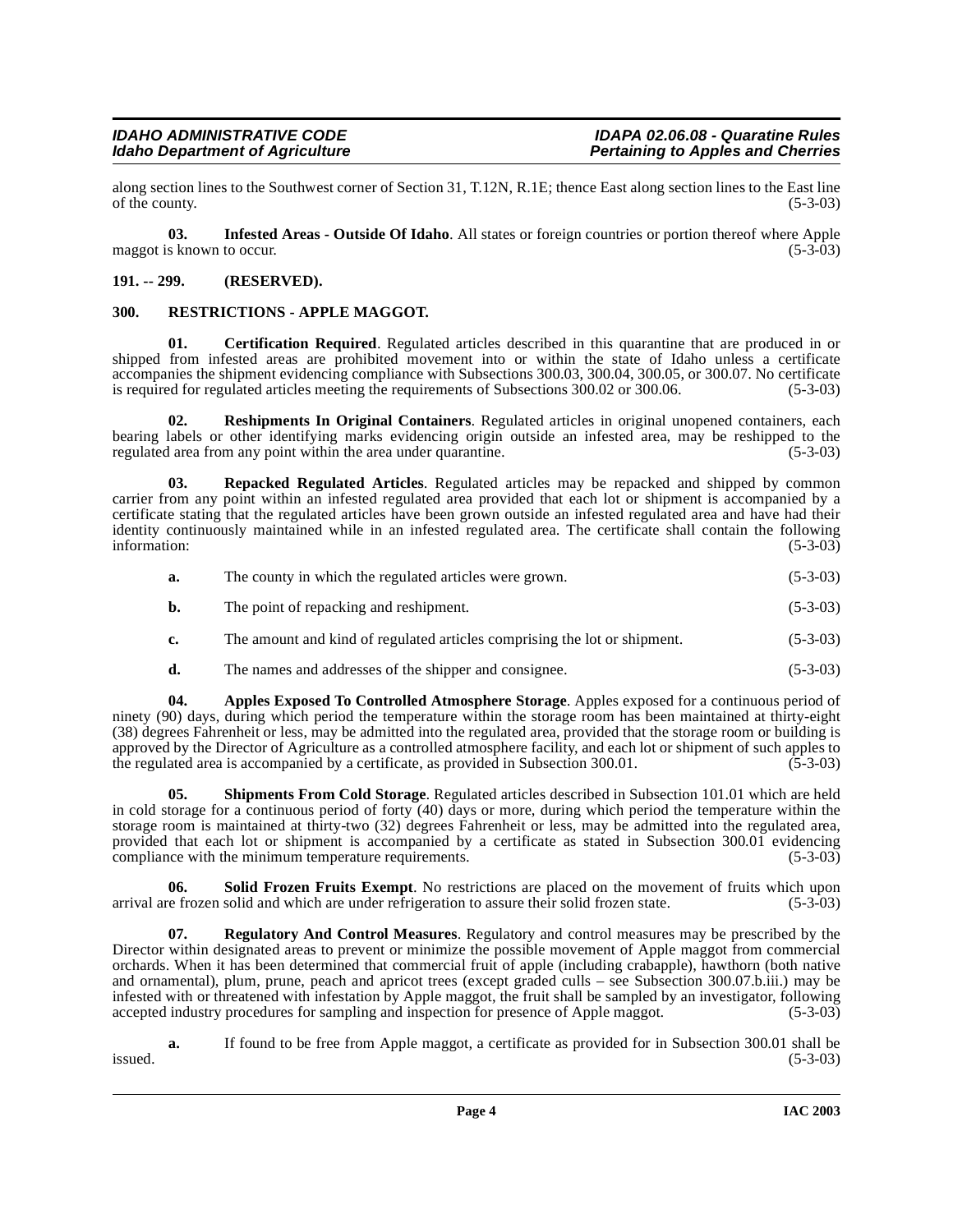along section lines to the Southwest corner of Section 31, T.12N, R.1E; thence East along section lines to the East line of the county. (5-3-03)

<span id="page-3-4"></span>**03. Infested Areas - Outside Of Idaho**. All states or foreign countries or portion thereof where Apple maggot is known to occur. (5-3-03)

#### <span id="page-3-0"></span>**191. -- 299. (RESERVED).**

#### <span id="page-3-8"></span><span id="page-3-1"></span>**300. RESTRICTIONS - APPLE MAGGOT.**

<span id="page-3-3"></span>**01. Certification Required**. Regulated articles described in this quarantine that are produced in or shipped from infested areas are prohibited movement into or within the state of Idaho unless a certificate accompanies the shipment evidencing compliance with Subsections 300.03, 300.04, 300.05, or 300.07. No certificate is required for regulated articles meeting the requirements of Subsections 300.02 or 300.06. (5-3-03) is required for regulated articles meeting the requirements of Subsections 300.02 or 300.06.

<span id="page-3-7"></span>**02. Reshipments In Original Containers**. Regulated articles in original unopened containers, each bearing labels or other identifying marks evidencing origin outside an infested area, may be reshipped to the regulated area from any point within the area under quarantine. (5-3-03) regulated area from any point within the area under quarantine.

<span id="page-3-6"></span>**03. Repacked Regulated Articles**. Regulated articles may be repacked and shipped by common carrier from any point within an infested regulated area provided that each lot or shipment is accompanied by a certificate stating that the regulated articles have been grown outside an infested regulated area and have had their identity continuously maintained while in an infested regulated area. The certificate shall contain the following information: (5-3-03) information: (5-3-03)

|  | The county in which the regulated articles were grown. | $(5-3-03)$ |
|--|--------------------------------------------------------|------------|
|--|--------------------------------------------------------|------------|

- **b.** The point of repacking and reshipment. (5-3-03)
- **c.** The amount and kind of regulated articles comprising the lot or shipment. (5-3-03)
- <span id="page-3-2"></span>**d.** The names and addresses of the shipper and consignee. (5-3-03)

**04. Apples Exposed To Controlled Atmosphere Storage**. Apples exposed for a continuous period of ninety (90) days, during which period the temperature within the storage room has been maintained at thirty-eight (38) degrees Fahrenheit or less, may be admitted into the regulated area, provided that the storage room or building is approved by the Director of Agriculture as a controlled atmosphere facility, and each lot or shipment of such apples to the regulated area is accompanied by a certificate, as provided in Subsection 300.01. (5-3-03)

<span id="page-3-9"></span>**05. Shipments From Cold Storage**. Regulated articles described in Subsection 101.01 which are held in cold storage for a continuous period of forty (40) days or more, during which period the temperature within the storage room is maintained at thirty-two (32) degrees Fahrenheit or less, may be admitted into the regulated area, provided that each lot or shipment is accompanied by a certificate as stated in Subsection 300.01 evidencing compliance with the minimum temperature requirements. (5-3-03)

<span id="page-3-10"></span>**06. Solid Frozen Fruits Exempt**. No restrictions are placed on the movement of fruits which upon arrival are frozen solid and which are under refrigeration to assure their solid frozen state. (5-3-03)

<span id="page-3-5"></span>**07. Regulatory And Control Measures**. Regulatory and control measures may be prescribed by the Director within designated areas to prevent or minimize the possible movement of Apple maggot from commercial orchards. When it has been determined that commercial fruit of apple (including crabapple), hawthorn (both native and ornamental), plum, prune, peach and apricot trees (except graded culls – see Subsection 300.07.b.iii.) may be infested with or threatened with infestation by Apple maggot, the fruit shall be sampled by an investigator, following accepted industry procedures for sampling and inspection for presence of Apple maggot. (5-3-03)

**a.** If found to be free from Apple maggot, a certificate as provided for in Subsection 300.01 shall be (5-3-03)  $is \text{used.}$  (5-3-03)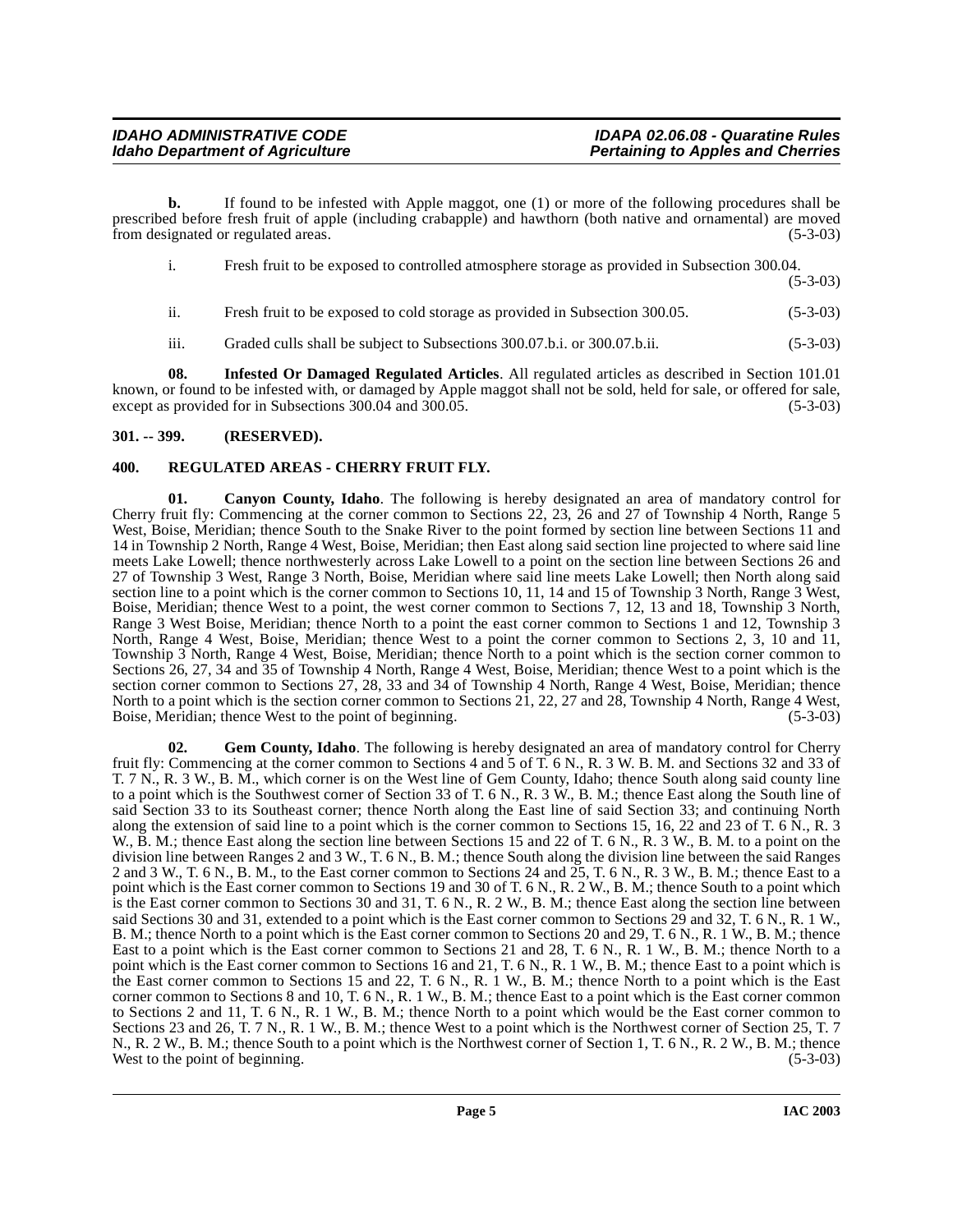# **IDAHO ADMINISTRATIVE CODE IDAPA 02.06.08 - Quaratine Rules**

**b.** If found to be infested with Apple maggot, one (1) or more of the following procedures shall be prescribed before fresh fruit of apple (including crabapple) and hawthorn (both native and ornamental) are moved from designated or regulated areas. (5-3-03)

- i. Fresh fruit to be exposed to controlled atmosphere storage as provided in Subsection 300.04. (5-3-03)
- ii. Fresh fruit to be exposed to cold storage as provided in Subsection 300.05. (5-3-03)
- <span id="page-4-4"></span>iii. Graded culls shall be subject to Subsections 300.07.b.i. or 300.07.b.ii. (5-3-03)

**08. Infested Or Damaged Regulated Articles**. All regulated articles as described in Section 101.01 known, or found to be infested with, or damaged by Apple maggot shall not be sold, held for sale, or offered for sale, except as provided for in Subsections 300.04 and 300.05. (5-3-03)

#### <span id="page-4-0"></span>**301. -- 399. (RESERVED).**

#### <span id="page-4-5"></span><span id="page-4-1"></span>**400. REGULATED AREAS - CHERRY FRUIT FLY.**

<span id="page-4-2"></span>**01. Canyon County, Idaho**. The following is hereby designated an area of mandatory control for Cherry fruit fly: Commencing at the corner common to Sections 22, 23, 26 and 27 of Township 4 North, Range 5 West, Boise, Meridian; thence South to the Snake River to the point formed by section line between Sections 11 and 14 in Township 2 North, Range 4 West, Boise, Meridian; then East along said section line projected to where said line meets Lake Lowell; thence northwesterly across Lake Lowell to a point on the section line between Sections 26 and 27 of Township 3 West, Range 3 North, Boise, Meridian where said line meets Lake Lowell; then North along said section line to a point which is the corner common to Sections 10, 11, 14 and 15 of Township 3 North, Range 3 West, Boise, Meridian; thence West to a point, the west corner common to Sections 7, 12, 13 and 18, Township 3 North, Range 3 West Boise, Meridian; thence North to a point the east corner common to Sections 1 and 12, Township 3 North, Range 4 West, Boise, Meridian; thence West to a point the corner common to Sections 2, 3, 10 and 11, Township 3 North, Range 4 West, Boise, Meridian; thence North to a point which is the section corner common to Sections 26, 27, 34 and 35 of Township 4 North, Range 4 West, Boise, Meridian; thence West to a point which is the section corner common to Sections 27, 28, 33 and 34 of Township 4 North, Range 4 West, Boise, Meridian; thence North to a point which is the section corner common to Sections 21, 22, 27 and 28, Township 4 North, Range 4 West, Boise, Meridian; thence West to the point of beginning. (5-3-03) (5-3-03)

<span id="page-4-3"></span>**02. Gem County, Idaho**. The following is hereby designated an area of mandatory control for Cherry fruit fly: Commencing at the corner common to Sections 4 and 5 of T. 6 N., R. 3 W. B. M. and Sections 32 and 33 of T. 7 N., R. 3 W., B. M., which corner is on the West line of Gem County, Idaho; thence South along said county line to a point which is the Southwest corner of Section 33 of T. 6 N., R. 3 W., B. M.; thence East along the South line of said Section 33 to its Southeast corner; thence North along the East line of said Section 33; and continuing North along the extension of said line to a point which is the corner common to Sections 15, 16, 22 and 23 of T. 6 N., R. 3 W., B. M.; thence East along the section line between Sections 15 and 22 of T. 6 N., R. 3 W., B. M. to a point on the division line between Ranges 2 and 3 W., T. 6 N., B. M.; thence South along the division line between the said Ranges 2 and 3 W., T. 6 N., B. M., to the East corner common to Sections 24 and 25, T. 6 N., R. 3 W., B. M.; thence East to a point which is the East corner common to Sections 19 and 30 of T. 6 N., R. 2 W., B. M.; thence South to a point which is the East corner common to Sections 30 and 31, T. 6 N., R. 2 W., B. M.; thence East along the section line between said Sections 30 and 31, extended to a point which is the East corner common to Sections 29 and 32, T. 6 N., R. 1 W., B. M.; thence North to a point which is the East corner common to Sections 20 and 29, T. 6 N., R. 1 W., B. M.; thence East to a point which is the East corner common to Sections 21 and 28, T. 6 N., R. 1 W., B. M.; thence North to a point which is the East corner common to Sections 16 and 21, T. 6 N., R. 1 W., B. M.; thence East to a point which is the East corner common to Sections 15 and 22, T. 6 N., R. 1 W., B. M.; thence North to a point which is the East corner common to Sections 8 and 10, T. 6 N., R. 1 W., B. M.; thence East to a point which is the East corner common to Sections 2 and 11, T. 6 N., R. 1 W., B. M.; thence North to a point which would be the East corner common to Sections 23 and 26, T. 7 N., R. 1 W., B. M.; thence West to a point which is the Northwest corner of Section 25, T. 7 N., R. 2 W., B. M.; thence South to a point which is the Northwest corner of Section 1, T. 6 N., R. 2 W., B. M.; thence West to the point of beginning. (5-3-03)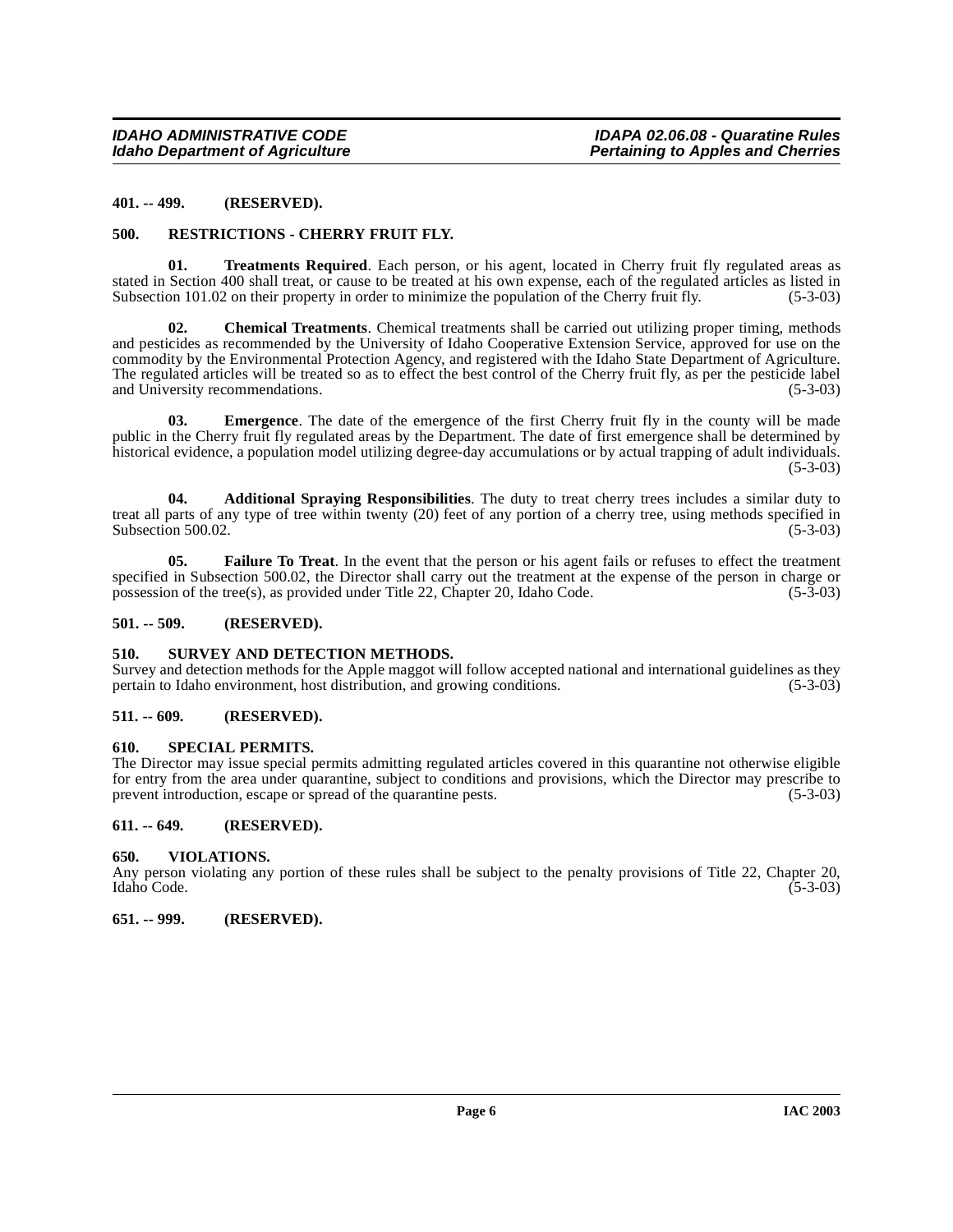#### <span id="page-5-0"></span>**401. -- 499. (RESERVED).**

#### <span id="page-5-13"></span><span id="page-5-1"></span>**500. RESTRICTIONS - CHERRY FRUIT FLY.**

<span id="page-5-16"></span>**01. Treatments Required**. Each person, or his agent, located in Cherry fruit fly regulated areas as stated in Section 400 shall treat, or cause to be treated at his own expense, each of the regulated articles as listed in Subsection 101.02 on their property in order to minimize the population of the Cherry fruit fly. (5-Subsection 101.02 on their property in order to minimize the population of the Cherry fruit fly.

<span id="page-5-10"></span>**02. Chemical Treatments**. Chemical treatments shall be carried out utilizing proper timing, methods and pesticides as recommended by the University of Idaho Cooperative Extension Service, approved for use on the commodity by the Environmental Protection Agency, and registered with the Idaho State Department of Agriculture. The regulated articles will be treated so as to effect the best control of the Cherry fruit fly, as per the pesticide label and University recommendations. (5-3-03)

<span id="page-5-11"></span>**03. Emergence**. The date of the emergence of the first Cherry fruit fly in the county will be made public in the Cherry fruit fly regulated areas by the Department. The date of first emergence shall be determined by historical evidence, a population model utilizing degree-day accumulations or by actual trapping of adult individuals.  $(5-3-03)$ 

<span id="page-5-9"></span>**04. Additional Spraying Responsibilities**. The duty to treat cherry trees includes a similar duty to treat all parts of any type of tree within twenty (20) feet of any portion of a cherry tree, using methods specified in Subsection 500.02. (5-3-03) Subsection 500.02.

<span id="page-5-12"></span>**05. Failure To Treat**. In the event that the person or his agent fails or refuses to effect the treatment specified in Subsection 500.02, the Director shall carry out the treatment at the expense of the person in charge or possession of the tree(s), as provided under Title 22, Chapter 20, Idaho Code.  $(5-3-03)$ possession of the tree(s), as provided under Title 22, Chapter 20, Idaho Code.

#### <span id="page-5-2"></span>**501. -- 509. (RESERVED).**

#### <span id="page-5-15"></span><span id="page-5-3"></span>**510. SURVEY AND DETECTION METHODS.**

Survey and detection methods for the Apple maggot will follow accepted national and international guidelines as they pertain to Idaho environment, host distribution, and growing conditions. (5-3-03) pertain to Idaho environment, host distribution, and growing conditions.

#### <span id="page-5-4"></span>**511. -- 609. (RESERVED).**

#### <span id="page-5-14"></span><span id="page-5-5"></span>**610. SPECIAL PERMITS.**

The Director may issue special permits admitting regulated articles covered in this quarantine not otherwise eligible for entry from the area under quarantine, subject to conditions and provisions, which the Director may prescribe to prevent introduction, escape or spread of the quarantine pests. (5-3-03) prevent introduction, escape or spread of the quarantine pests.

#### <span id="page-5-6"></span>**611. -- 649. (RESERVED).**

#### <span id="page-5-17"></span><span id="page-5-7"></span>**650. VIOLATIONS.**

Any person violating any portion of these rules shall be subject to the penalty provisions of Title 22, Chapter 20, Idaho Code. (5-3-03) Idaho Code. (5-3-03)

#### <span id="page-5-8"></span>**651. -- 999. (RESERVED).**